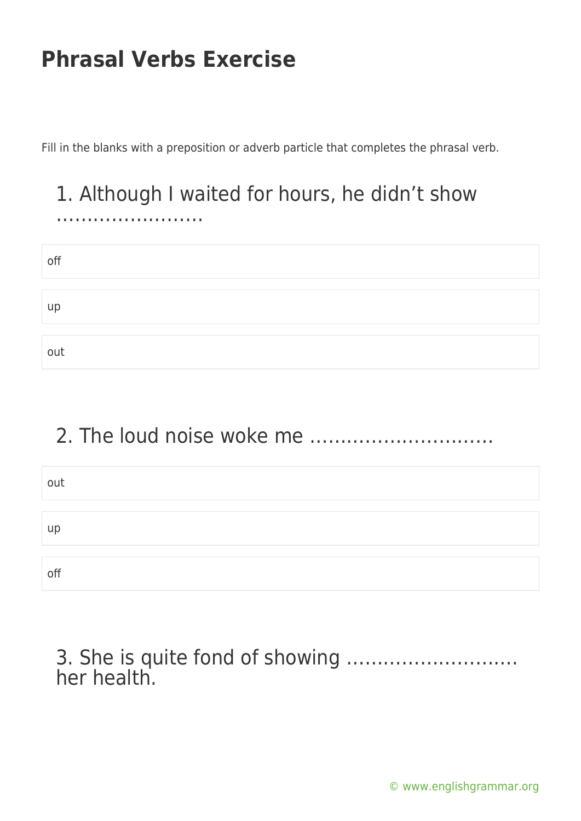……………………

Fill in the blanks with a preposition or adverb particle that completes the phrasal verb.

# 1. Although I waited for hours, he didn't show

| off |  |  |
|-----|--|--|
| up  |  |  |
| out |  |  |

### 2. The loud noise woke me …………………………

| out |  |  |
|-----|--|--|
|     |  |  |
| up  |  |  |
|     |  |  |
| off |  |  |

### 3. She is quite fond of showing ………………………. her health.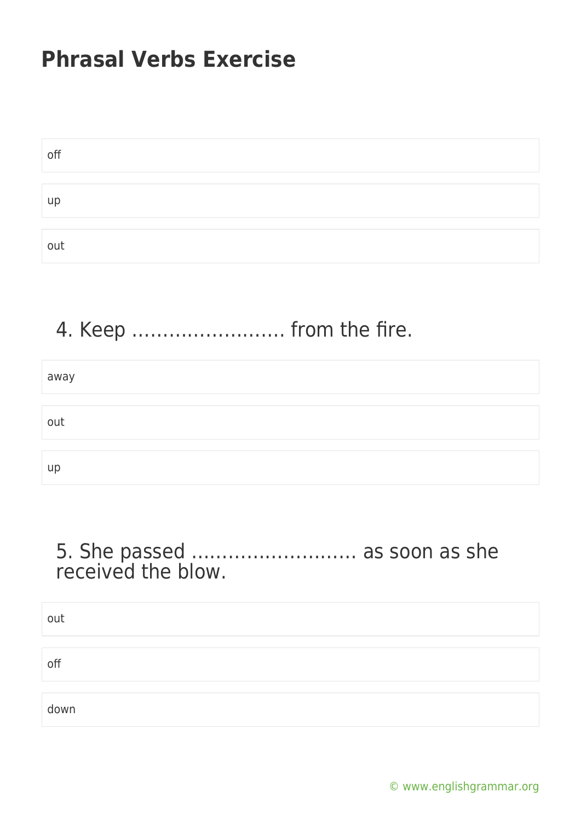| off |  |  |
|-----|--|--|
|     |  |  |
| up  |  |  |
|     |  |  |
| out |  |  |

# 4. Keep ……………………. from the fire.

| away      |  |
|-----------|--|
|           |  |
| out       |  |
|           |  |
| <b>up</b> |  |

#### 5. She passed ……………………… as soon as she received the blow.

out off down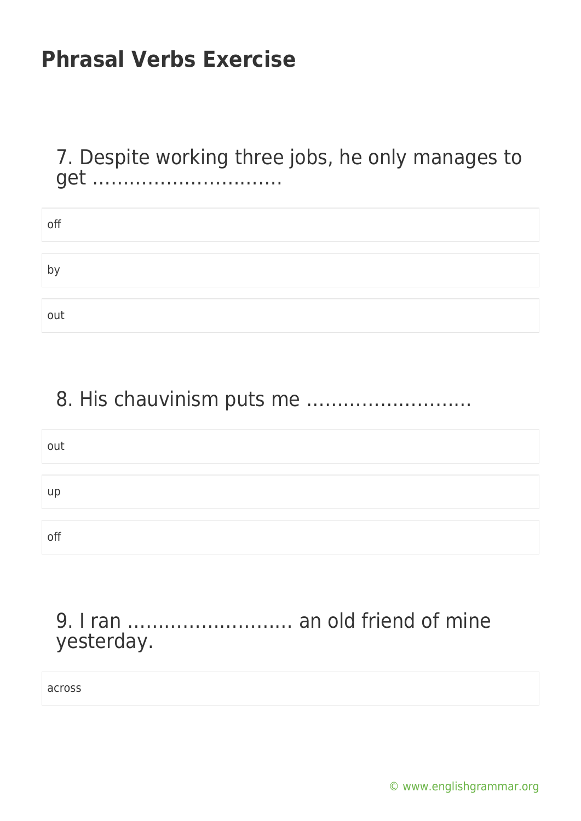7. Despite working three jobs, he only manages to get ………………………….

| off          |  |  |
|--------------|--|--|
|              |  |  |
| $\mathsf{b}$ |  |  |
|              |  |  |
| out          |  |  |

### 8. His chauvinism puts me ………………………

| out |  |
|-----|--|
|     |  |
| up  |  |
|     |  |
| off |  |

### 9. I ran ……………………… an old friend of mine yesterday.

across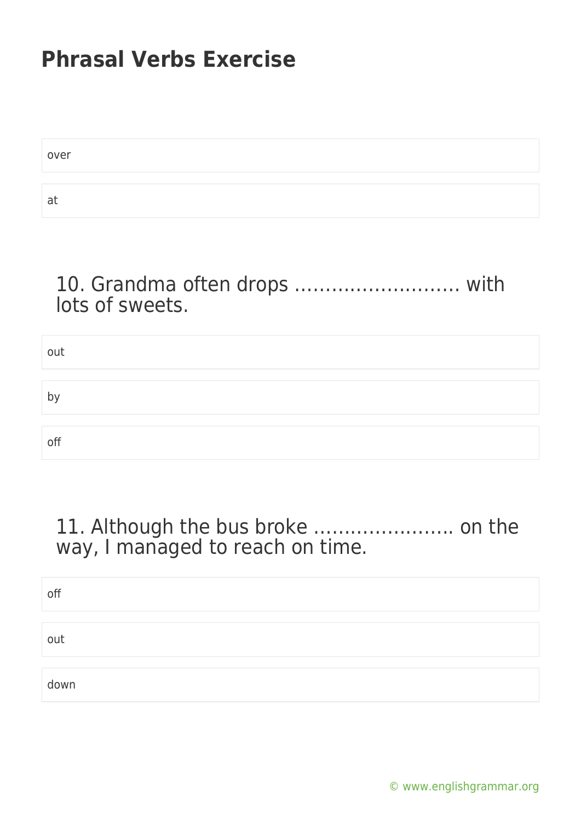| over |  |
|------|--|
|      |  |
| at   |  |

### 10. Grandma often drops ……………………… with lots of sweets.

| out |  |  |
|-----|--|--|
|     |  |  |
|     |  |  |
| by  |  |  |
|     |  |  |
|     |  |  |
| off |  |  |
|     |  |  |

### 11. Although the bus broke ………………….. on the way, I managed to reach on time.

| off  |  |
|------|--|
|      |  |
| out  |  |
|      |  |
| down |  |